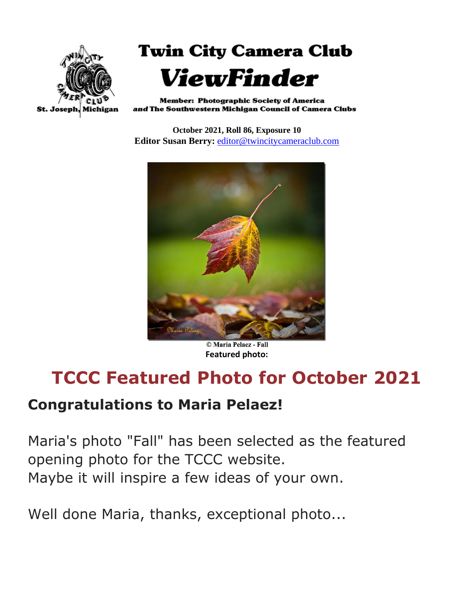



**Member: Photographic Society of America** and The Southwestern Michigan Council of Camera Clubs

**October 2021, Roll 86, Exposure 10 Editor Susan Berry:** [editor@twincitycameraclub.com](mailto:editor@twincitycameraclub.com)



© Maria Pelaez - Fall **Featured photo:**

## **TCCC Featured Photo for October 2021**

#### **Congratulations to Maria Pelaez!**

Maria's photo "Fall" has been selected as the featured opening photo for the TCCC website. Maybe it will inspire a few ideas of your own.

Well done Maria, thanks, exceptional photo...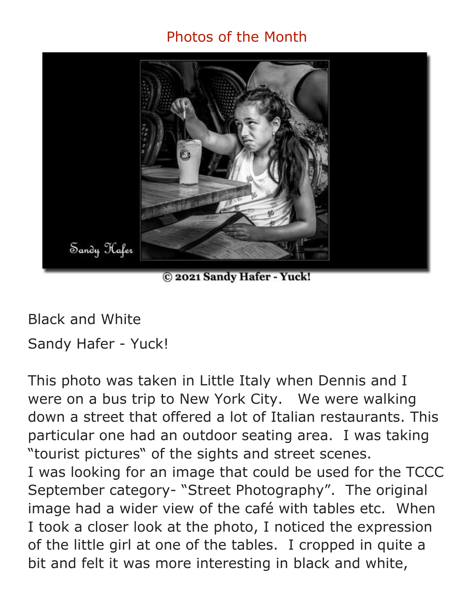#### Photos of the Month



C 2021 Sandy Hafer - Yuck!

Black and White

Sandy Hafer - Yuck!

This photo was taken in Little Italy when Dennis and I were on a bus trip to New York City. We were walking down a street that offered a lot of Italian restaurants. This particular one had an outdoor seating area. I was taking "tourist pictures" of the sights and street scenes. I was looking for an image that could be used for the TCCC September category- "Street Photography". The original image had a wider view of the café with tables etc. When I took a closer look at the photo, I noticed the expression of the little girl at one of the tables. I cropped in quite a bit and felt it was more interesting in black and white,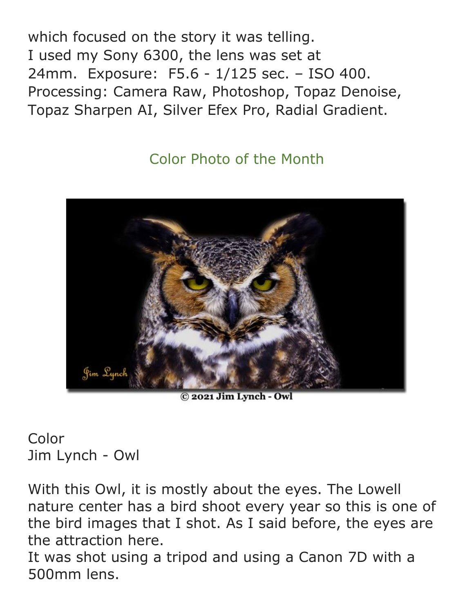which focused on the story it was telling. I used my Sony 6300, the lens was set at 24mm. Exposure: F5.6 - 1/125 sec. – ISO 400. Processing: Camera Raw, Photoshop, Topaz Denoise, Topaz Sharpen AI, Silver Efex Pro, Radial Gradient.

### Color Photo of the Month



© 2021 Jim Lynch - Owl

Color Jim Lynch - Owl

With this Owl, it is mostly about the eyes. The Lowell nature center has a bird shoot every year so this is one of the bird images that I shot. As I said before, the eyes are the attraction here.

It was shot using a tripod and using a Canon 7D with a 500mm lens.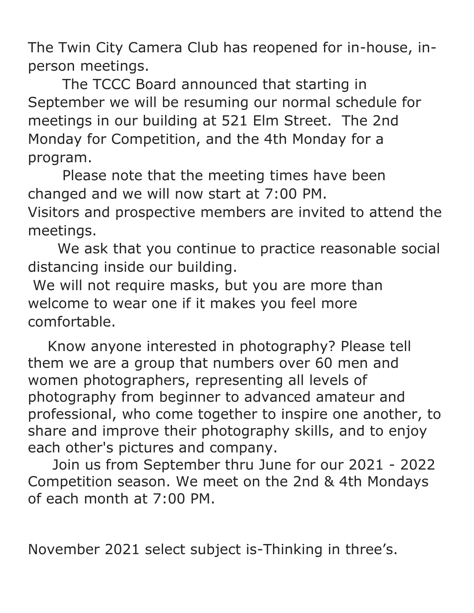The Twin City Camera Club has reopened for in-house, inperson meetings.

 The TCCC Board announced that starting in September we will be resuming our normal schedule for meetings in our building at 521 Elm Street. The 2nd Monday for Competition, and the 4th Monday for a program.

 Please note that the meeting times have been changed and we will now start at 7:00 PM. Visitors and prospective members are invited to attend the meetings.

 We ask that you continue to practice reasonable social distancing inside our building.

We will not require masks, but you are more than welcome to wear one if it makes you feel more comfortable.

 Know anyone interested in photography? Please tell them we are a group that numbers over 60 men and women photographers, representing all levels of photography from beginner to advanced amateur and professional, who come together to inspire one another, to share and improve their photography skills, and to enjoy each other's pictures and company.

 Join us from September thru June for our 2021 - 2022 Competition season. We meet on the 2nd & 4th Mondays of each month at 7:00 PM.

November 2021 select subject is-Thinking in three's.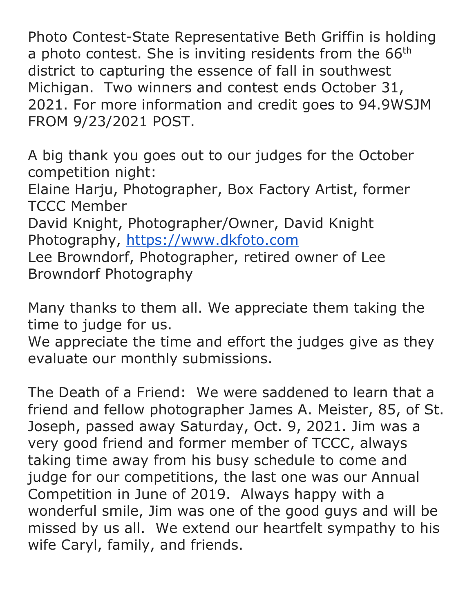Photo Contest-State Representative Beth Griffin is holding a photo contest. She is inviting residents from the 66<sup>th</sup> district to capturing the essence of fall in southwest Michigan. Two winners and contest ends October 31, 2021. For more information and credit goes to 94.9WSJM FROM 9/23/2021 POST.

A big thank you goes out to our judges for the October competition night:

Elaine Harju, Photographer, Box Factory Artist, former TCCC Member

David Knight, Photographer/Owner, David Knight Photography, [https://www.dkfoto.com](https://www.dkfoto.com/)

Lee Browndorf, Photographer, retired owner of Lee Browndorf Photography

Many thanks to them all. We appreciate them taking the time to judge for us.

We appreciate the time and effort the judges give as they evaluate our monthly submissions.

The Death of a Friend: We were saddened to learn that a friend and fellow photographer James A. Meister, 85, of St. Joseph, passed away Saturday, Oct. 9, 2021. Jim was a very good friend and former member of TCCC, always taking time away from his busy schedule to come and judge for our competitions, the last one was our Annual Competition in June of 2019. Always happy with a wonderful smile, Jim was one of the good guys and will be missed by us all. We extend our heartfelt sympathy to his wife Caryl, family, and friends.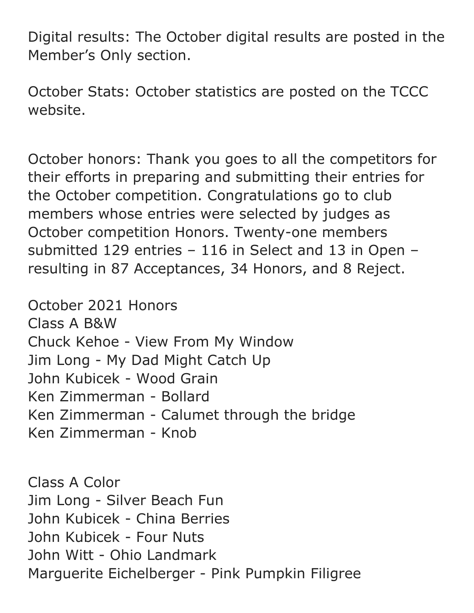Digital results: The October digital results are posted in the Member's Only section.

October Stats: October statistics are posted on the TCCC website.

October honors: Thank you goes to all the competitors for their efforts in preparing and submitting their entries for the October competition. Congratulations go to club members whose entries were selected by judges as October competition Honors. Twenty-one members submitted 129 entries – 116 in Select and 13 in Open – resulting in 87 Acceptances, 34 Honors, and 8 Reject.

October 2021 Honors Class A B&W Chuck Kehoe - View From My Window Jim Long - My Dad Might Catch Up John Kubicek - Wood Grain Ken Zimmerman - Bollard Ken Zimmerman - Calumet through the bridge Ken Zimmerman - Knob

Class A Color Jim Long - Silver Beach Fun John Kubicek - China Berries John Kubicek - Four Nuts John Witt - Ohio Landmark Marguerite Eichelberger - Pink Pumpkin Filigree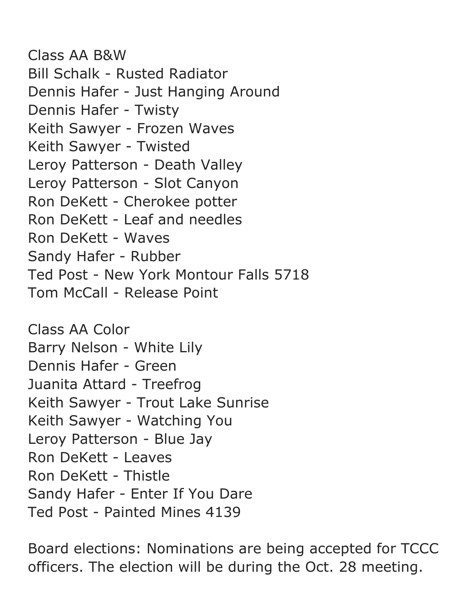Class AA B&W Bill Schalk - Rusted Radiator Dennis Hafer - Just Hanging Around Dennis Hafer - Twisty Keith Sawyer - Frozen Waves Keith Sawyer - Twisted Leroy Patterson - Death Valley Leroy Patterson - Slot Canyon Ron DeKett - Cherokee potter Ron DeKett - Leaf and needles Ron DeKett - Waves Sandy Hafer - Rubber Ted Post - New York Montour Falls 5718 Tom McCall - Release Point

Class AA Color Barry Nelson - White Lily Dennis Hafer - Green Juanita Attard - Treefrog Keith Sawyer - Trout Lake Sunrise Keith Sawyer - Watching You Leroy Patterson - Blue Jay Ron DeKett - Leaves Ron DeKett - Thistle Sandy Hafer - Enter If You Dare Ted Post - Painted Mines 4139

Board elections: Nominations are being accepted for TCCC officers. The election will be during the Oct. 28 meeting.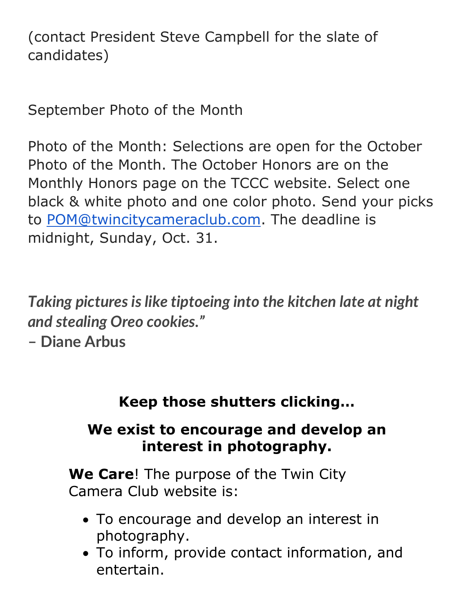(contact President Steve Campbell for the slate of candidates)

September Photo of the Month

Photo of the Month: Selections are open for the October Photo of the Month. The October Honors are on the Monthly Honors page on the TCCC website. Select one black & white photo and one color photo. Send your picks to [POM@twincitycameraclub.com.](mailto:POM@twincitycameraclub.com) The deadline is midnight, Sunday, Oct. 31.

*Taking pictures is like tiptoeing into the kitchen late at night and stealing Oreo cookies."*

**– Diane Arbus**

**Keep those shutters clicking…**

#### **We exist to encourage and develop an interest in photography.**

**We Care**! The purpose of the Twin City Camera Club website is:

- To encourage and develop an interest in photography.
- To inform, provide contact information, and entertain.